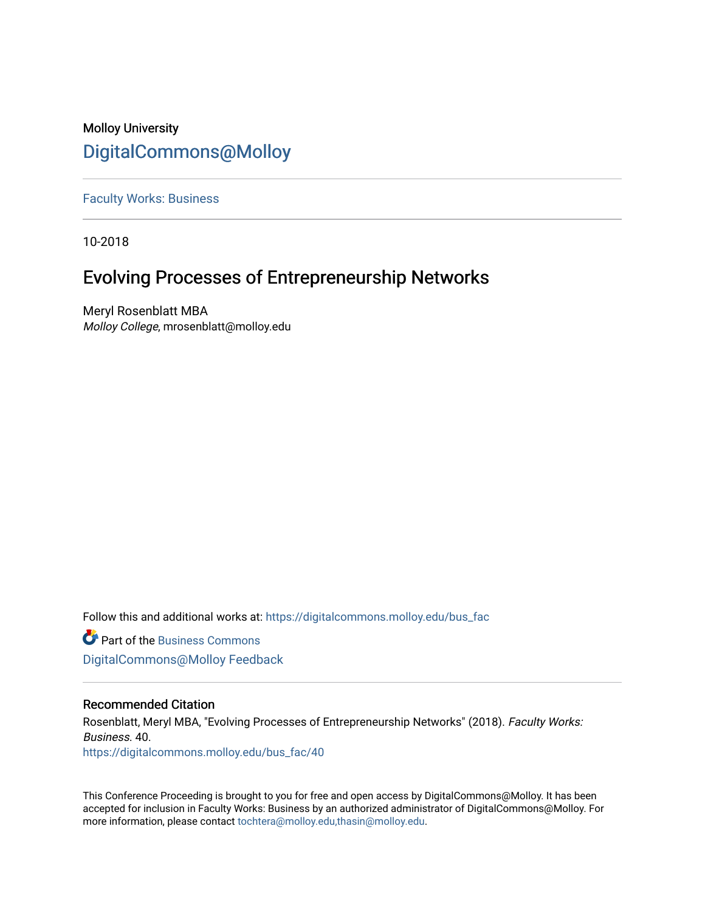## Molloy University [DigitalCommons@Molloy](https://digitalcommons.molloy.edu/)

[Faculty Works: Business](https://digitalcommons.molloy.edu/bus_fac) 

10-2018

## Evolving Processes of Entrepreneurship Networks

Meryl Rosenblatt MBA Molloy College, mrosenblatt@molloy.edu

Follow this and additional works at: [https://digitalcommons.molloy.edu/bus\\_fac](https://digitalcommons.molloy.edu/bus_fac?utm_source=digitalcommons.molloy.edu%2Fbus_fac%2F40&utm_medium=PDF&utm_campaign=PDFCoverPages)

**C** Part of the [Business Commons](https://network.bepress.com/hgg/discipline/622?utm_source=digitalcommons.molloy.edu%2Fbus_fac%2F40&utm_medium=PDF&utm_campaign=PDFCoverPages) [DigitalCommons@Molloy Feedback](https://molloy.libwizard.com/f/dcfeedback)

### Recommended Citation

Rosenblatt, Meryl MBA, "Evolving Processes of Entrepreneurship Networks" (2018). Faculty Works: Business. 40. [https://digitalcommons.molloy.edu/bus\\_fac/40](https://digitalcommons.molloy.edu/bus_fac/40?utm_source=digitalcommons.molloy.edu%2Fbus_fac%2F40&utm_medium=PDF&utm_campaign=PDFCoverPages) 

This Conference Proceeding is brought to you for free and open access by DigitalCommons@Molloy. It has been accepted for inclusion in Faculty Works: Business by an authorized administrator of DigitalCommons@Molloy. For more information, please contact [tochtera@molloy.edu,thasin@molloy.edu.](mailto:tochtera@molloy.edu,thasin@molloy.edu)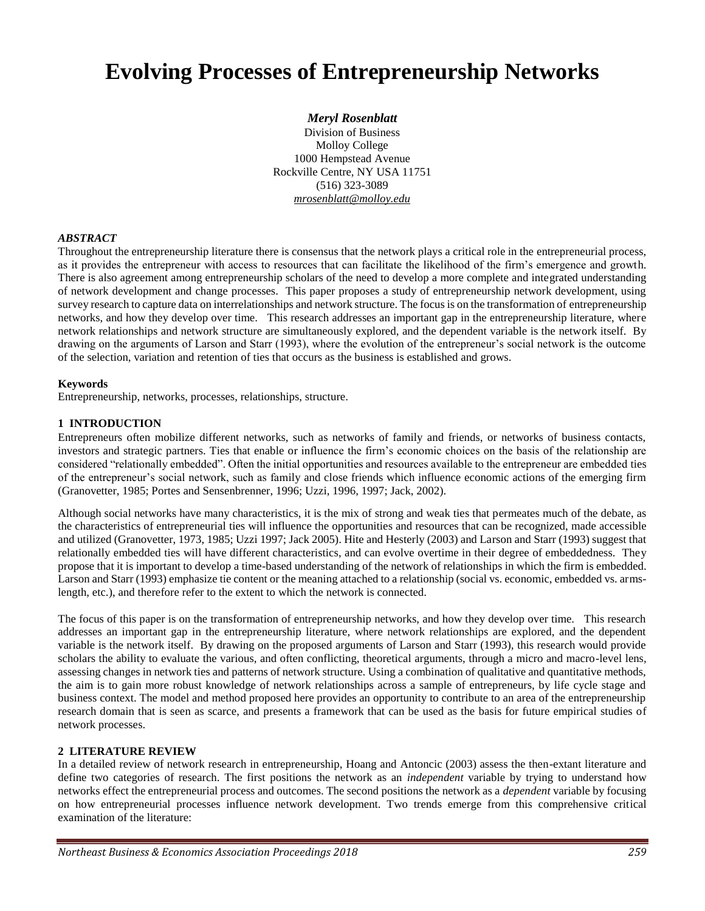# **Evolving Processes of Entrepreneurship Networks**

#### *Meryl Rosenblatt*

Division of Business Molloy College 1000 Hempstead Avenue Rockville Centre, NY USA 11751 (516) 323-3089 *mrosenblatt@molloy.edu* 

#### *ABSTRACT*

Throughout the entrepreneurship literature there is consensus that the network plays a critical role in the entrepreneurial process, as it provides the entrepreneur with access to resources that can facilitate the likelihood of the firm's emergence and growth. There is also agreement among entrepreneurship scholars of the need to develop a more complete and integrated understanding of network development and change processes. This paper proposes a study of entrepreneurship network development, using survey research to capture data on interrelationships and network structure. The focus is on the transformation of entrepreneurship networks, and how they develop over time. This research addresses an important gap in the entrepreneurship literature, where network relationships and network structure are simultaneously explored, and the dependent variable is the network itself. By drawing on the arguments of Larson and Starr (1993), where the evolution of the entrepreneur's social network is the outcome of the selection, variation and retention of ties that occurs as the business is established and grows.

#### **Keywords**

Entrepreneurship, networks, processes, relationships, structure.

#### **1 INTRODUCTION**

Entrepreneurs often mobilize different networks, such as networks of family and friends, or networks of business contacts, investors and strategic partners. Ties that enable or influence the firm's economic choices on the basis of the relationship are considered "relationally embedded". Often the initial opportunities and resources available to the entrepreneur are embedded ties of the entrepreneur's social network, such as family and close friends which influence economic actions of the emerging firm (Granovetter, 1985; Portes and Sensenbrenner, 1996; Uzzi, 1996, 1997; Jack, 2002).

Although social networks have many characteristics, it is the mix of strong and weak ties that permeates much of the debate, as the characteristics of entrepreneurial ties will influence the opportunities and resources that can be recognized, made accessible and utilized (Granovetter, 1973, 1985; Uzzi 1997; Jack 2005). Hite and Hesterly (2003) and Larson and Starr (1993) suggest that relationally embedded ties will have different characteristics, and can evolve overtime in their degree of embeddedness. They propose that it is important to develop a time-based understanding of the network of relationships in which the firm is embedded. Larson and Starr (1993) emphasize tie content or the meaning attached to a relationship (social vs. economic, embedded vs. armslength, etc.), and therefore refer to the extent to which the network is connected.

The focus of this paper is on the transformation of entrepreneurship networks, and how they develop over time. This research addresses an important gap in the entrepreneurship literature, where network relationships are explored, and the dependent variable is the network itself. By drawing on the proposed arguments of Larson and Starr (1993), this research would provide scholars the ability to evaluate the various, and often conflicting, theoretical arguments, through a micro and macro-level lens, assessing changes in network ties and patterns of network structure. Using a combination of qualitative and quantitative methods, the aim is to gain more robust knowledge of network relationships across a sample of entrepreneurs, by life cycle stage and business context. The model and method proposed here provides an opportunity to contribute to an area of the entrepreneurship research domain that is seen as scarce, and presents a framework that can be used as the basis for future empirical studies of network processes.

#### **2 LITERATURE REVIEW**

In a detailed review of network research in entrepreneurship, Hoang and Antoncic (2003) assess the then-extant literature and define two categories of research. The first positions the network as an *independent* variable by trying to understand how networks effect the entrepreneurial process and outcomes. The second positions the network as a *dependent* variable by focusing on how entrepreneurial processes influence network development. Two trends emerge from this comprehensive critical examination of the literature: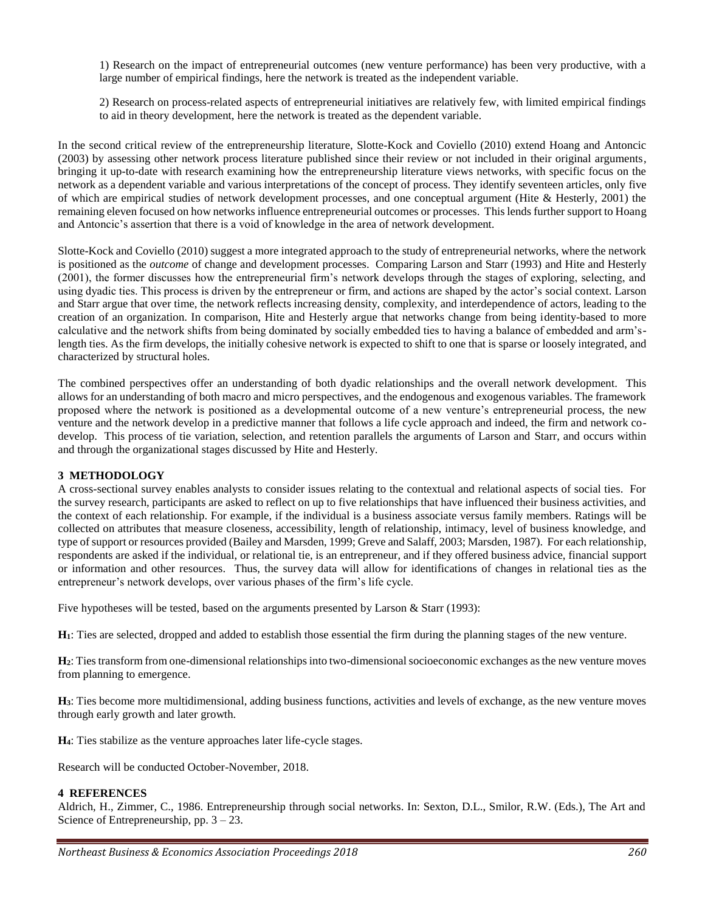1) Research on the impact of entrepreneurial outcomes (new venture performance) has been very productive, with a large number of empirical findings, here the network is treated as the independent variable.

2) Research on process-related aspects of entrepreneurial initiatives are relatively few, with limited empirical findings to aid in theory development, here the network is treated as the dependent variable.

In the second critical review of the entrepreneurship literature, Slotte-Kock and Coviello (2010) extend Hoang and Antoncic (2003) by assessing other network process literature published since their review or not included in their original arguments, bringing it up-to-date with research examining how the entrepreneurship literature views networks, with specific focus on the network as a dependent variable and various interpretations of the concept of process. They identify seventeen articles, only five of which are empirical studies of network development processes, and one conceptual argument (Hite  $\&$  Hesterly, 2001) the remaining eleven focused on how networks influence entrepreneurial outcomes or processes. This lends further support to Hoang and Antoncic's assertion that there is a void of knowledge in the area of network development.

Slotte-Kock and Coviello (2010) suggest a more integrated approach to the study of entrepreneurial networks, where the network is positioned as the *outcome* of change and development processes. Comparing Larson and Starr (1993) and Hite and Hesterly (2001), the former discusses how the entrepreneurial firm's network develops through the stages of exploring, selecting, and using dyadic ties. This process is driven by the entrepreneur or firm, and actions are shaped by the actor's social context. Larson and Starr argue that over time, the network reflects increasing density, complexity, and interdependence of actors, leading to the creation of an organization. In comparison, Hite and Hesterly argue that networks change from being identity-based to more calculative and the network shifts from being dominated by socially embedded ties to having a balance of embedded and arm'slength ties. As the firm develops, the initially cohesive network is expected to shift to one that is sparse or loosely integrated, and characterized by structural holes.

The combined perspectives offer an understanding of both dyadic relationships and the overall network development. This allows for an understanding of both macro and micro perspectives, and the endogenous and exogenous variables. The framework proposed where the network is positioned as a developmental outcome of a new venture's entrepreneurial process, the new venture and the network develop in a predictive manner that follows a life cycle approach and indeed, the firm and network codevelop. This process of tie variation, selection, and retention parallels the arguments of Larson and Starr, and occurs within and through the organizational stages discussed by Hite and Hesterly.

#### **3 METHODOLOGY**

A cross-sectional survey enables analysts to consider issues relating to the contextual and relational aspects of social ties. For the survey research, participants are asked to reflect on up to five relationships that have influenced their business activities, and the context of each relationship. For example, if the individual is a business associate versus family members. Ratings will be collected on attributes that measure closeness, accessibility, length of relationship, intimacy, level of business knowledge, and type of support or resources provided (Bailey and Marsden, 1999; Greve and Salaff, 2003; Marsden, 1987). For each relationship, respondents are asked if the individual, or relational tie, is an entrepreneur, and if they offered business advice, financial support or information and other resources. Thus, the survey data will allow for identifications of changes in relational ties as the entrepreneur's network develops, over various phases of the firm's life cycle.

Five hypotheses will be tested, based on the arguments presented by Larson & Starr (1993):

**H1**: Ties are selected, dropped and added to establish those essential the firm during the planning stages of the new venture.

**H2**: Ties transform from one-dimensional relationships into two-dimensional socioeconomic exchanges as the new venture moves from planning to emergence.

**H3**: Ties become more multidimensional, adding business functions, activities and levels of exchange, as the new venture moves through early growth and later growth.

**H4**: Ties stabilize as the venture approaches later life-cycle stages.

Research will be conducted October-November, 2018.

#### **4 REFERENCES**

Aldrich, H., Zimmer, C., 1986. Entrepreneurship through social networks. In: Sexton, D.L., Smilor, R.W. (Eds.), The Art and Science of Entrepreneurship, pp. 3 – 23.